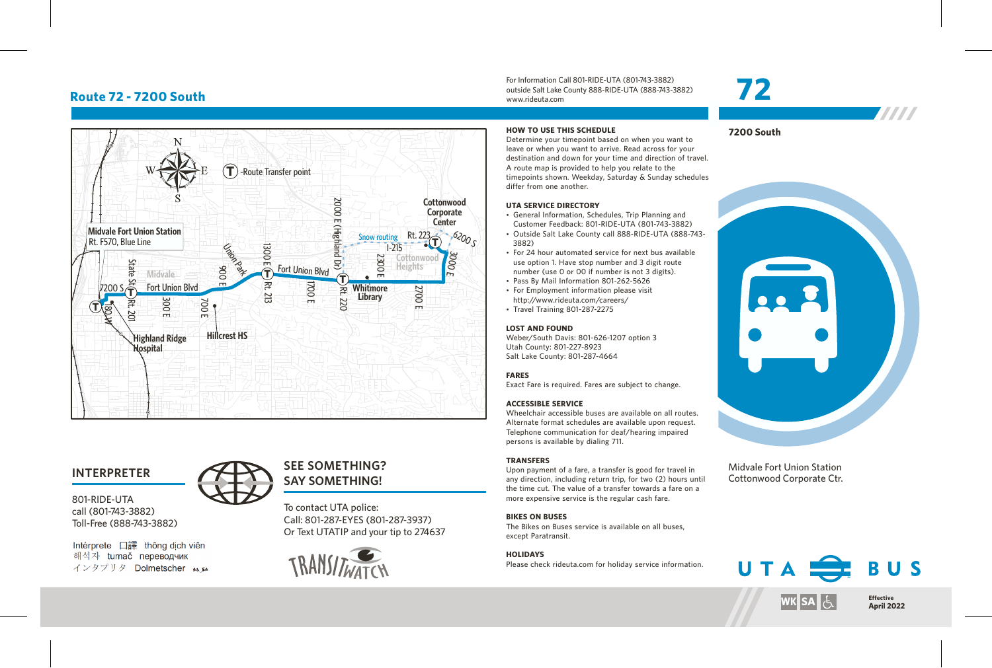# **Route 72 - 7200 South**



## **INTERPRETER**

801-RIDE-UTA call (801-743-3882) Toll-Free (888-743-3882)

Intérprete 口譯 thông dịch viên 해석자 tumač переводчик インタプリタ Dolmetscher メル



To contact UTA police: **SAY SOMETHING!**

Call: 801-287-EYES (801-287-3937) Or Text UTATIP and your tip to 274637



For Information Call 801-RIDE-UTA (801-743-3882) outside Salt Lake County 888-RIDE-UTA (888-743-3882) www.rideuta.com

### **HOW TO USE THIS SCHEDULE**

Determine your timepoint based on when you want to leave or when you want to arrive. Read across for your destination and down for your time and direction of travel. A route map is provided to help you relate to the timepoints shown. Weekday, Saturday & Sunday schedules differ from one another.

#### **UTA SERVICE DIRECTORY**

- General Information, Schedules, Trip Planning and Customer Feedback: 801-RIDE-UTA (801-743-3882)
- Outside Salt Lake County call 888-RIDE-UTA (888-743-3882)
- For 24 hour automated service for next bus available use option 1. Have stop number and 3 digit route number (use 0 or 00 if number is not 3 digits).
- Pass By Mail Information 801-262-5626
- For Employment information please visit http://www.rideuta.com/careers/
- $\cdot$  Travel Training 801-287-2275

#### **LOST AND FOUND**

Weber/South Davis: 801-626-1207 option 3 Utah County: 801-227-8923 Salt Lake County: 801-287-4664

### **FARES**

Exact Fare is required. Fares are subject to change.

### **ACCESSIBLE SERVICE**

Wheelchair accessible buses are available on all routes. Alternate format schedules are available upon request. Telephone communication for deaf/hearing impaired persons is available by dialing 711.

#### **TRANSFERS**

Upon payment of a fare, a transfer is good for travel in any direction, including return trip, for two (2) hours until the time cut. The value of a transfer towards a fare on a more expensive service is the regular cash fare.

#### **BIKES ON BUSES**

The Bikes on Buses service is available on all buses, except Paratransit.

## **HOLIDAYS**

Please check rideuta.com for holiday service information.

# **72**

**TITTI** 

**7200 South**



Midvale Fort Union Station Cottonwood Corporate Ctr.